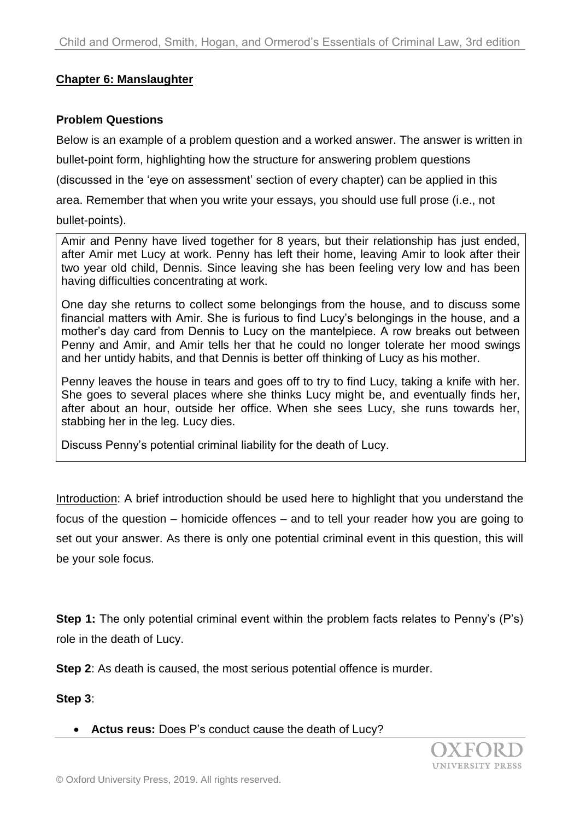# **Chapter 6: Manslaughter**

### **Problem Questions**

Below is an example of a problem question and a worked answer. The answer is written in

bullet-point form, highlighting how the structure for answering problem questions

(discussed in the 'eye on assessment' section of every chapter) can be applied in this

area. Remember that when you write your essays, you should use full prose (i.e., not

#### bullet-points).

Amir and Penny have lived together for 8 years, but their relationship has just ended, after Amir met Lucy at work. Penny has left their home, leaving Amir to look after their two year old child, Dennis. Since leaving she has been feeling very low and has been having difficulties concentrating at work.

One day she returns to collect some belongings from the house, and to discuss some financial matters with Amir. She is furious to find Lucy's belongings in the house, and a mother's day card from Dennis to Lucy on the mantelpiece. A row breaks out between Penny and Amir, and Amir tells her that he could no longer tolerate her mood swings and her untidy habits, and that Dennis is better off thinking of Lucy as his mother.

Penny leaves the house in tears and goes off to try to find Lucy, taking a knife with her. She goes to several places where she thinks Lucy might be, and eventually finds her, after about an hour, outside her office. When she sees Lucy, she runs towards her, stabbing her in the leg. Lucy dies.

Discuss Penny's potential criminal liability for the death of Lucy.

Introduction: A brief introduction should be used here to highlight that you understand the focus of the question – homicide offences – and to tell your reader how you are going to set out your answer. As there is only one potential criminal event in this question, this will be your sole focus.

**Step 1:** The only potential criminal event within the problem facts relates to Penny's (P's) role in the death of Lucy.

**Step 2:** As death is caused, the most serious potential offence is murder.

**Step 3**:

### **Actus reus:** Does P's conduct cause the death of Lucy?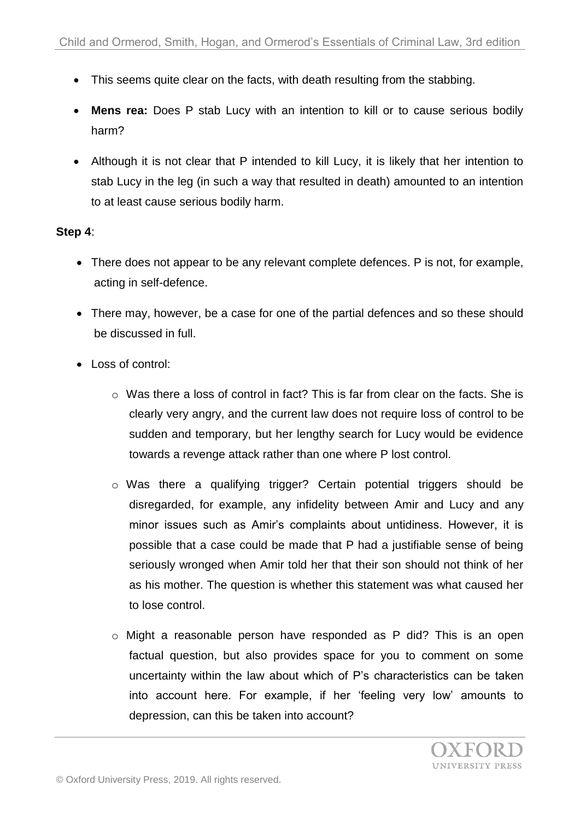- This seems quite clear on the facts, with death resulting from the stabbing.
- **Mens rea:** Does P stab Lucy with an intention to kill or to cause serious bodily harm?
- Although it is not clear that P intended to kill Lucy, it is likely that her intention to stab Lucy in the leg (in such a way that resulted in death) amounted to an intention to at least cause serious bodily harm.

# **Step 4**:

- There does not appear to be any relevant complete defences. P is not, for example, acting in self-defence.
- There may, however, be a case for one of the partial defences and so these should be discussed in full.
- Loss of control:
	- o Was there a loss of control in fact? This is far from clear on the facts. She is clearly very angry, and the current law does not require loss of control to be sudden and temporary, but her lengthy search for Lucy would be evidence towards a revenge attack rather than one where P lost control.
	- o Was there a qualifying trigger? Certain potential triggers should be disregarded, for example, any infidelity between Amir and Lucy and any minor issues such as Amir's complaints about untidiness. However, it is possible that a case could be made that P had a justifiable sense of being seriously wronged when Amir told her that their son should not think of her as his mother. The question is whether this statement was what caused her to lose control.
	- o Might a reasonable person have responded as P did? This is an open factual question, but also provides space for you to comment on some uncertainty within the law about which of P's characteristics can be taken into account here. For example, if her 'feeling very low' amounts to depression, can this be taken into account?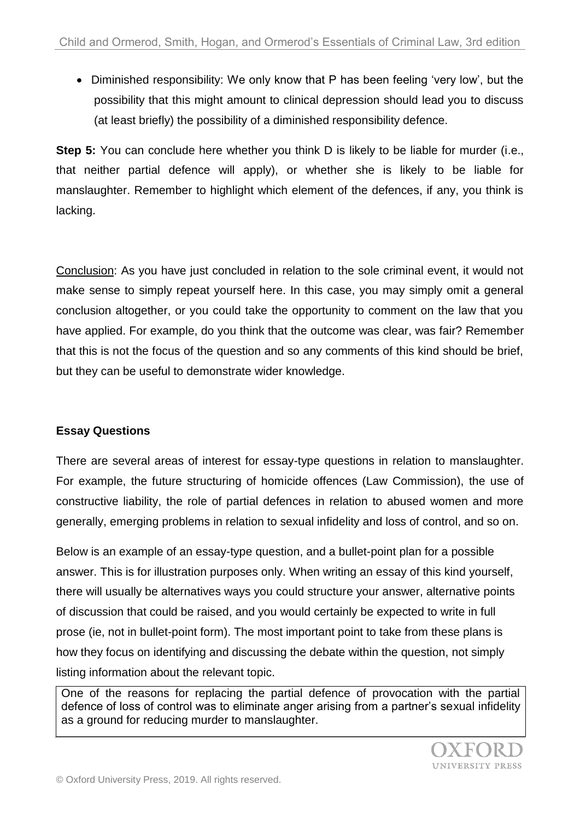Diminished responsibility: We only know that P has been feeling 'very low', but the possibility that this might amount to clinical depression should lead you to discuss (at least briefly) the possibility of a diminished responsibility defence.

**Step 5:** You can conclude here whether you think D is likely to be liable for murder (i.e., that neither partial defence will apply), or whether she is likely to be liable for manslaughter. Remember to highlight which element of the defences, if any, you think is lacking.

Conclusion: As you have just concluded in relation to the sole criminal event, it would not make sense to simply repeat yourself here. In this case, you may simply omit a general conclusion altogether, or you could take the opportunity to comment on the law that you have applied. For example, do you think that the outcome was clear, was fair? Remember that this is not the focus of the question and so any comments of this kind should be brief, but they can be useful to demonstrate wider knowledge.

# **Essay Questions**

There are several areas of interest for essay-type questions in relation to manslaughter. For example, the future structuring of homicide offences (Law Commission), the use of constructive liability, the role of partial defences in relation to abused women and more generally, emerging problems in relation to sexual infidelity and loss of control, and so on.

Below is an example of an essay-type question, and a bullet-point plan for a possible answer. This is for illustration purposes only. When writing an essay of this kind yourself, there will usually be alternatives ways you could structure your answer, alternative points of discussion that could be raised, and you would certainly be expected to write in full prose (ie, not in bullet-point form). The most important point to take from these plans is how they focus on identifying and discussing the debate within the question, not simply listing information about the relevant topic.

One of the reasons for replacing the partial defence of provocation with the partial defence of loss of control was to eliminate anger arising from a partner's sexual infidelity as a ground for reducing murder to manslaughter.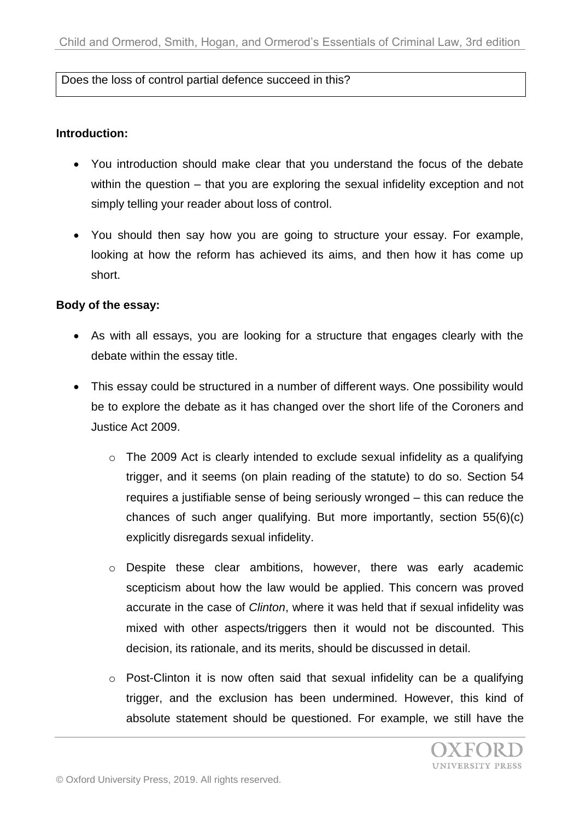# Does the loss of control partial defence succeed in this?

### **Introduction:**

- You introduction should make clear that you understand the focus of the debate within the question – that you are exploring the sexual infidelity exception and not simply telling your reader about loss of control.
- You should then say how you are going to structure your essay. For example, looking at how the reform has achieved its aims, and then how it has come up short.

# **Body of the essay:**

- As with all essays, you are looking for a structure that engages clearly with the debate within the essay title.
- This essay could be structured in a number of different ways. One possibility would be to explore the debate as it has changed over the short life of the Coroners and Justice Act 2009.
	- o The 2009 Act is clearly intended to exclude sexual infidelity as a qualifying trigger, and it seems (on plain reading of the statute) to do so. Section 54 requires a justifiable sense of being seriously wronged – this can reduce the chances of such anger qualifying. But more importantly, section 55(6)(c) explicitly disregards sexual infidelity.
	- o Despite these clear ambitions, however, there was early academic scepticism about how the law would be applied. This concern was proved accurate in the case of *Clinton*, where it was held that if sexual infidelity was mixed with other aspects/triggers then it would not be discounted. This decision, its rationale, and its merits, should be discussed in detail.
	- $\circ$  Post-Clinton it is now often said that sexual infidelity can be a qualifying trigger, and the exclusion has been undermined. However, this kind of absolute statement should be questioned. For example, we still have the